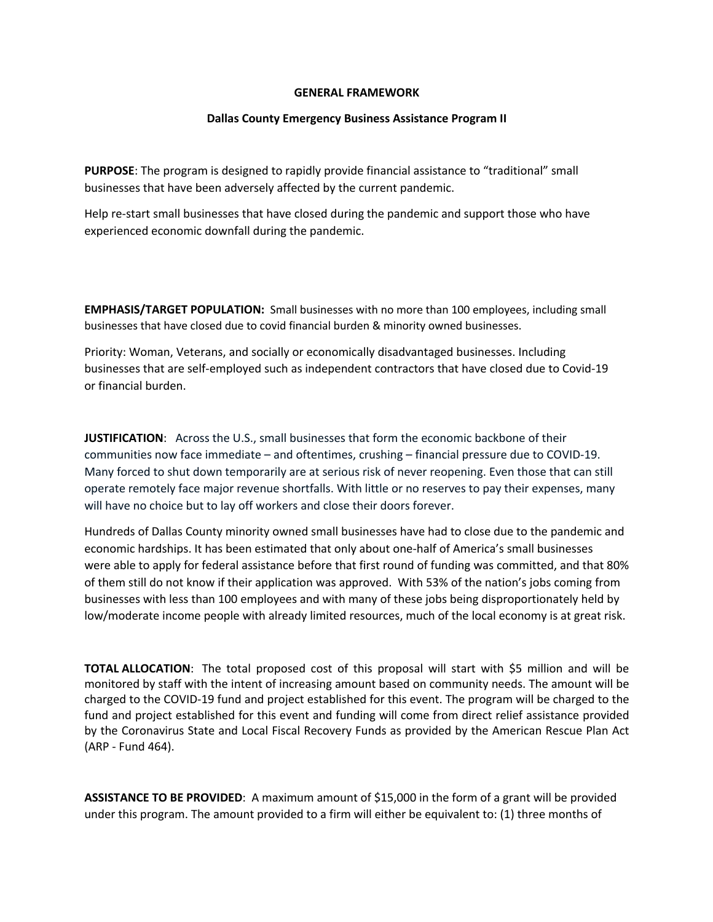## **GENERAL FRAMEWORK**

## **Dallas County Emergency Business Assistance Program II**

**PURPOSE**: The program is designed to rapidly provide financial assistance to "traditional" small businesses that have been adversely affected by the current pandemic.

Help re-start small businesses that have closed during the pandemic and support those who have experienced economic downfall during the pandemic.

**EMPHASIS/TARGET POPULATION:** Small businesses with no more than 100 employees, including small businesses that have closed due to covid financial burden & minority owned businesses.

Priority: Woman, Veterans, and socially or economically disadvantaged businesses. Including businesses that are self-employed such as independent contractors that have closed due to Covid-19 or financial burden.

**JUSTIFICATION**: Across the U.S., small businesses that form the economic backbone of their communities now face immediate – and oftentimes, crushing – financial pressure due to COVID-19. Many forced to shut down temporarily are at serious risk of never reopening. Even those that can still operate remotely face major revenue shortfalls. With little or no reserves to pay their expenses, many will have no choice but to lay off workers and close their doors forever.

Hundreds of Dallas County minority owned small businesses have had to close due to the pandemic and economic hardships. It has been estimated that only about one-half of America's small businesses were able to apply for federal assistance before that first round of funding was committed, and that 80% of them still do not know if their application was approved. With 53% of the nation's jobs coming from businesses with less than 100 employees and with many of these jobs being disproportionately held by low/moderate income people with already limited resources, much of the local economy is at great risk.

**TOTAL ALLOCATION**: The total proposed cost of this proposal will start with \$5 million and will be monitored by staff with the intent of increasing amount based on community needs. The amount will be charged to the COVID-19 fund and project established for this event. The program will be charged to the fund and project established for this event and funding will come from direct relief assistance provided by the Coronavirus State and Local Fiscal Recovery Funds as provided by the American Rescue Plan Act (ARP - Fund 464).

**ASSISTANCE TO BE PROVIDED**: A maximum amount of \$15,000 in the form of a grant will be provided under this program. The amount provided to a firm will either be equivalent to: (1) three months of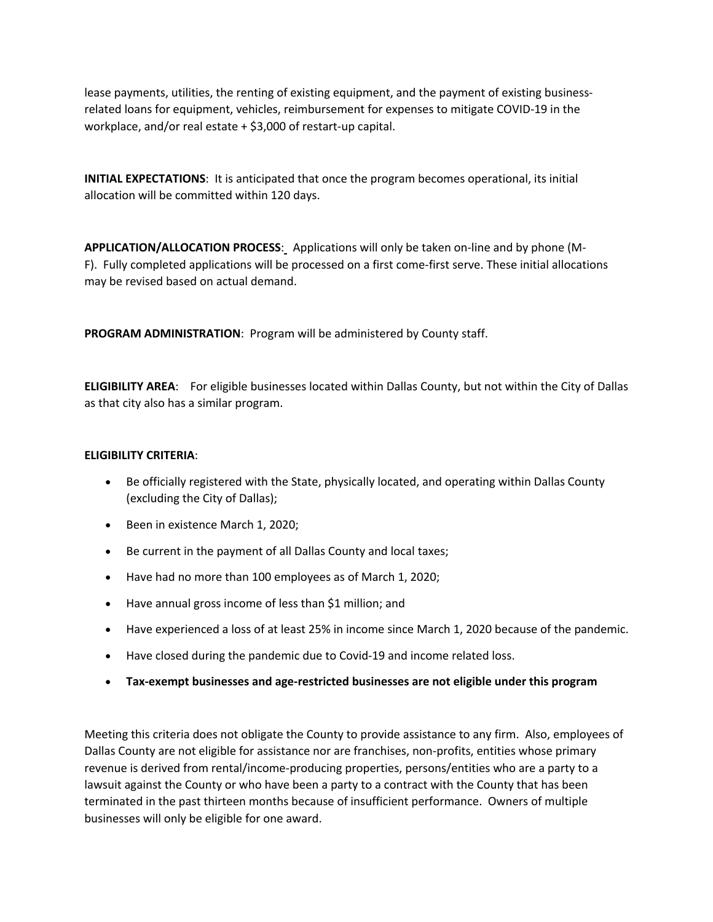lease payments, utilities, the renting of existing equipment, and the payment of existing businessrelated loans for equipment, vehicles, reimbursement for expenses to mitigate COVID-19 in the workplace, and/or real estate + \$3,000 of restart-up capital.

**INITIAL EXPECTATIONS**: It is anticipated that once the program becomes operational, its initial allocation will be committed within 120 days.

**APPLICATION/ALLOCATION PROCESS**: Applications will only be taken on-line and by phone (M-F). Fully completed applications will be processed on a first come-first serve. These initial allocations may be revised based on actual demand.

**PROGRAM ADMINISTRATION**: Program will be administered by County staff.

**ELIGIBILITY AREA**: For eligible businesses located within Dallas County, but not within the City of Dallas as that city also has a similar program.

## **ELIGIBILITY CRITERIA**:

- Be officially registered with the State, physically located, and operating within Dallas County (excluding the City of Dallas);
- Been in existence March 1, 2020;
- Be current in the payment of all Dallas County and local taxes;
- Have had no more than 100 employees as of March 1, 2020;
- Have annual gross income of less than \$1 million; and
- Have experienced a loss of at least 25% in income since March 1, 2020 because of the pandemic.
- Have closed during the pandemic due to Covid-19 and income related loss.
- **Tax-exempt businesses and age-restricted businesses are not eligible under this program**

Meeting this criteria does not obligate the County to provide assistance to any firm. Also, employees of Dallas County are not eligible for assistance nor are franchises, non-profits, entities whose primary revenue is derived from rental/income-producing properties, persons/entities who are a party to a lawsuit against the County or who have been a party to a contract with the County that has been terminated in the past thirteen months because of insufficient performance. Owners of multiple businesses will only be eligible for one award.